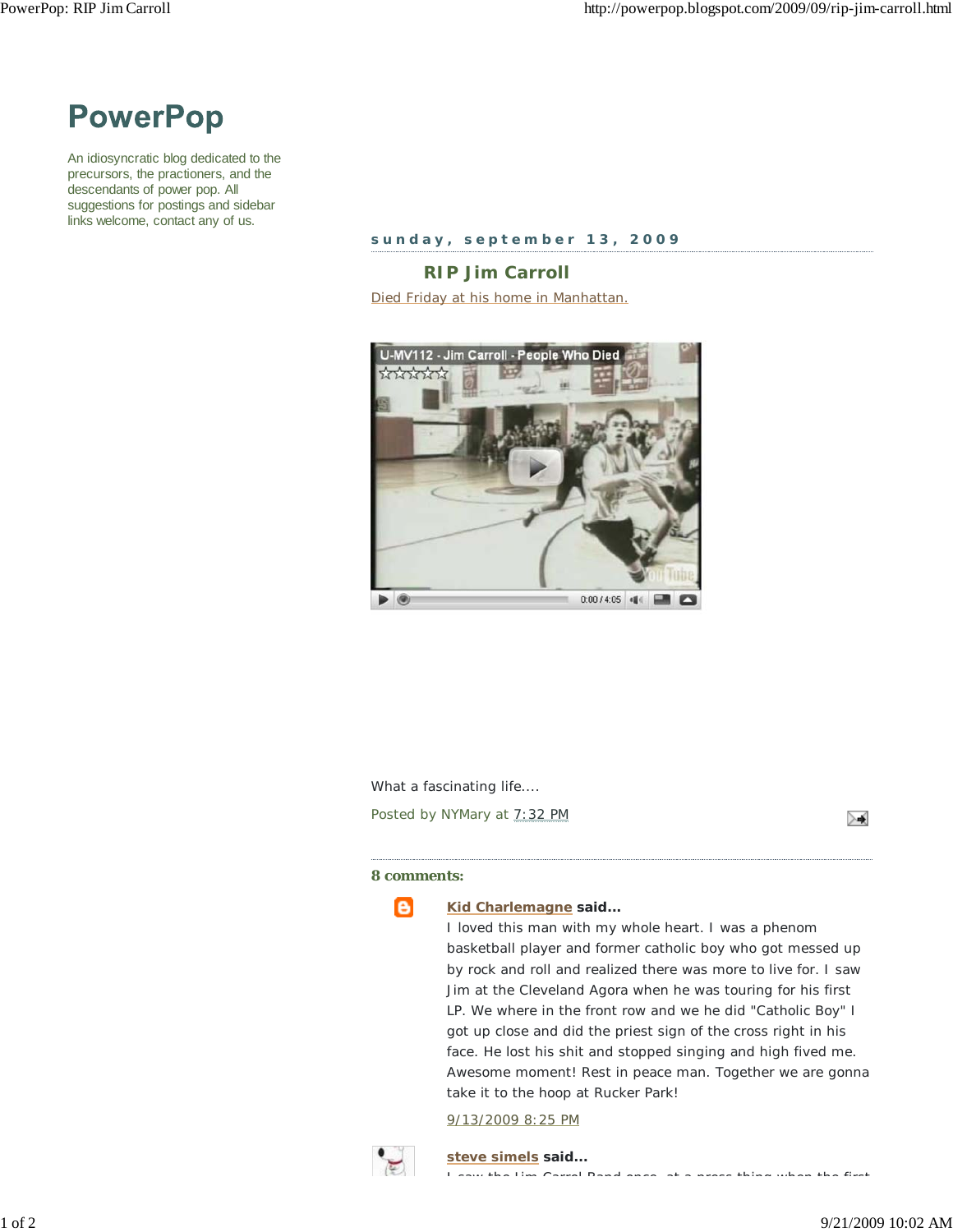

An idiosyncratic blog dedicated to the precursors, the practioners, and the descendants of power pop. All suggestions for postings and sidebar links welcome, contact any of us.

**sunday, september 13, 2009**

**RIP Jim Carroll** Died Friday at his home in Manhattan.



What a fascinating life....

Posted by NYMary at 7:32 PM

≻∢

## **8 comments:**



## **Kid Charlemagne said...**

I loved this man with my whole heart. I was a phenom basketball player and former catholic boy who got messed up by rock and roll and realized there was more to live for. I saw Jim at the Cleveland Agora when he was touring for his first LP. We where in the front row and we he did "Catholic Boy" I got up close and did the priest sign of the cross right in his face. He lost his shit and stopped singing and high fived me. Awesome moment! Rest in peace man. Together we are gonna take it to the hoop at Rucker Park!

9/13/2009 8:25 PM



**steve simels said...** I saw the Jim Carrol Band once at a press thing when the first

1 of 2 9/21/2009 10:02 AM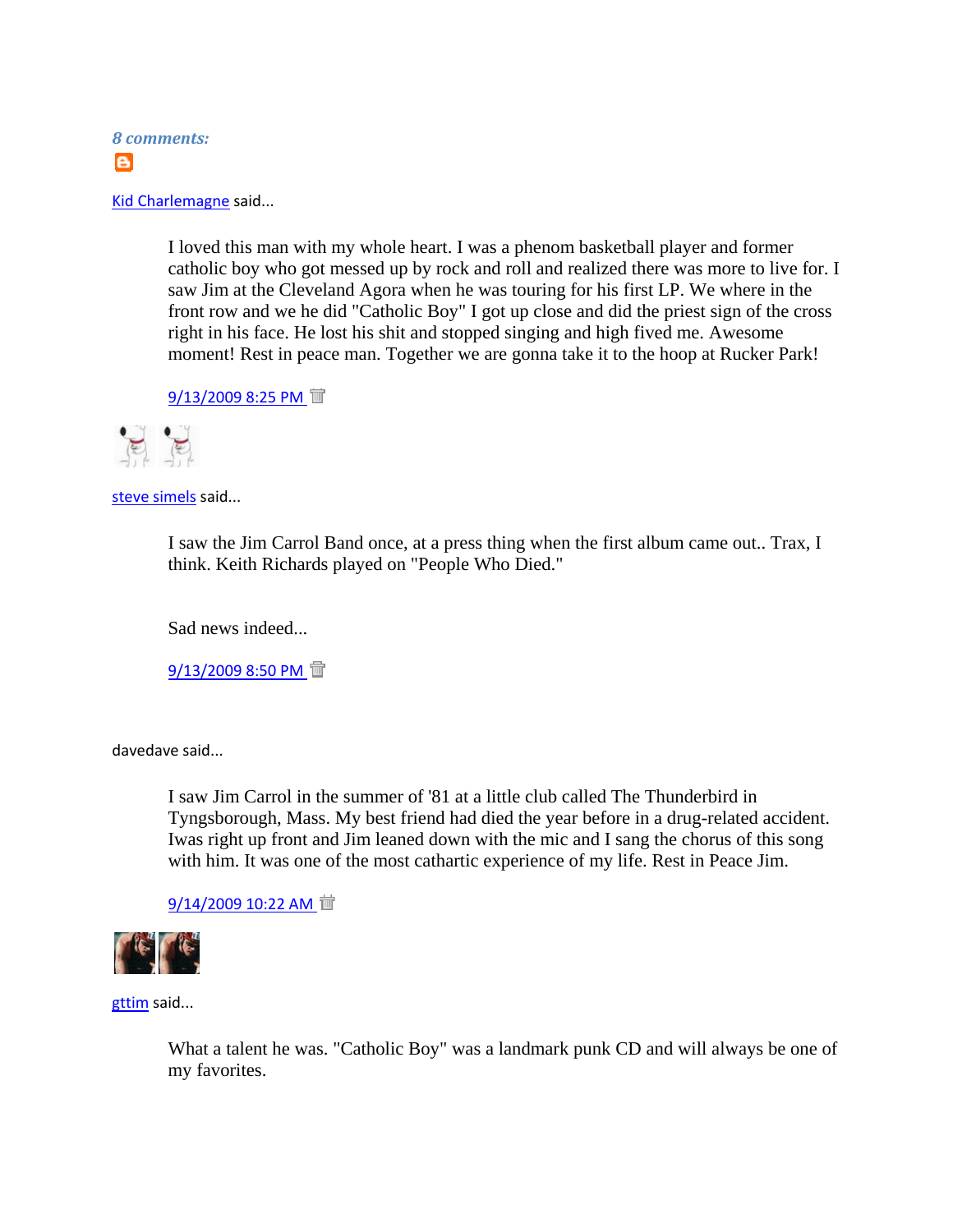

Kid Charlemagne said...

I loved this man with my whole heart. I was a phenom basketball player and former catholic boy who got messed up by rock and roll and realized there was more to live for. I saw Jim at the Cleveland Agora when he was touring for his first LP. We where in the front row and we he did "Catholic Boy" I got up close and did the priest sign of the cross right in his face. He lost his shit and stopped singing and high fived me. Awesome moment! Rest in peace man. Together we are gonna take it to the hoop at Rucker Park!

9/13/2009 8:25 PM T



steve simels said...

I saw the Jim Carrol Band once, at a press thing when the first album came out.. Trax, I think. Keith Richards played on "People Who Died."

Sad news indeed...

9/13/2009 8:50 PM T

davedave said...

I saw Jim Carrol in the summer of '81 at a little club called The Thunderbird in Tyngsborough, Mass. My best friend had died the year before in a drug-related accident. Iwas right up front and Jim leaned down with the mic and I sang the chorus of this song with him. It was one of the most cathartic experience of my life. Rest in Peace Jim.

9/14/2009 10:22 AM 面



gttim said...

What a talent he was. "Catholic Boy" was a landmark punk CD and will always be one of my favorites.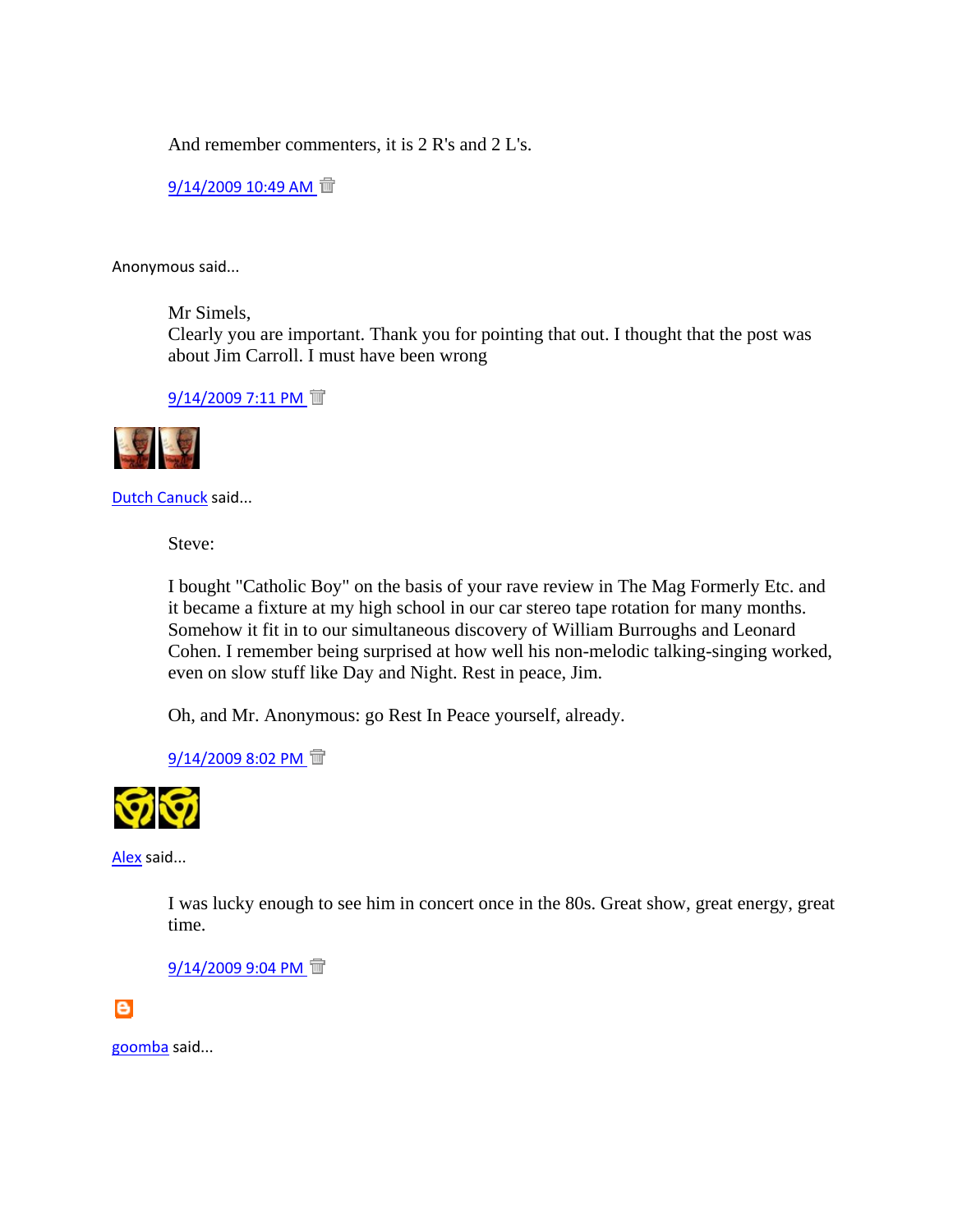And remember commenters, it is 2 R's and 2 L's.

 $9/14/2009$  10:49 AM 面

Anonymous said...

Mr Simels,

Clearly you are important. Thank you for pointing that out. I thought that the post was about Jim Carroll. I must have been wrong

9/14/2009 7:11 PM T



Dutch Canuck said...

Steve:

I bought "Catholic Boy" on the basis of your rave review in The Mag Formerly Etc. and it became a fixture at my high school in our car stereo tape rotation for many months. Somehow it fit in to our simultaneous discovery of William Burroughs and Leonard Cohen. I remember being surprised at how well his non-melodic talking-singing worked, even on slow stuff like Day and Night. Rest in peace, Jim.

Oh, and Mr. Anonymous: go Rest In Peace yourself, already.

9/14/2009 8:02 PM T



Alex said...

I was lucky enough to see him in concert once in the 80s. Great show, great energy, great time.

9/14/2009 9:04 PM <sup>ff</sup>

 $\bullet$ 

goomba said...